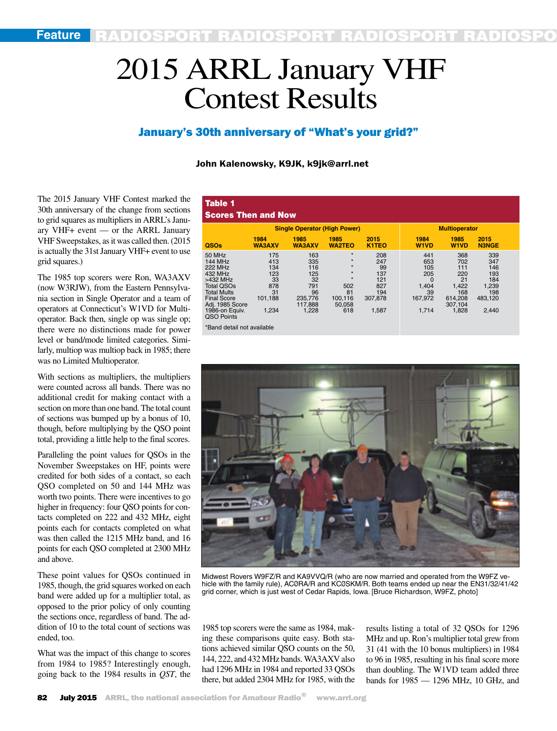# 2015 ARRL January VHF Contest Results

# January's 30th anniversary of "What's your grid?"

## John Kalenowsky, K9JK, k9jk@arrl.net

The 2015 January VHF Contest marked the 30th anniversary of the change from sections to grid squares as multipliers in ARRL's January VHF+ event — or the ARRL January VHF Sweepstakes, as it was called then. (2015 is actually the 31st January VHF+ event to use grid squares.)

The 1985 top scorers were Ron, WA3AXV (now W3RJW), from the Eastern Pennsylvania section in Single Operator and a team of operators at Connecticut's W1VD for Multioperator. Back then, single op was single op; there were no distinctions made for power level or band/mode limited categories. Similarly, multiop was multiop back in 1985; there was no Limited Multioperator.

With sections as multipliers, the multipliers were counted across all bands. There was no additional credit for making contact with a section on more than one band. The total count of sections was bumped up by a bonus of 10, though, before multiplying by the QSO point total, providing a little help to the final scores.

Paralleling the point values for QSOs in the November Sweepstakes on HF, points were credited for both sides of a contact, so each QSO completed on 50 and 144 MHz was worth two points. There were incentives to go higher in frequency: four QSO points for contacts completed on 222 and 432 MHz, eight points each for contacts completed on what was then called the 1215 MHz band, and 16 points for each QSO completed at 2300 MHz and above.

These point values for QSOs continued in 1985, though, the grid squares worked on each band were added up for a multiplier total, as opposed to the prior policy of only counting the sections once, regardless of band. The addition of 10 to the total count of sections was ended, too.

What was the impact of this change to scores from 1984 to 1985? Interestingly enough, going back to the 1984 results in *QST*, the

| Table 1<br><b>Scores Then and Now</b>                                                                                                                                                 |                                                                 |                                                                            |                                                                                              |                                                                  |                                                                         |                                                                               |                                                                     |  |
|---------------------------------------------------------------------------------------------------------------------------------------------------------------------------------------|-----------------------------------------------------------------|----------------------------------------------------------------------------|----------------------------------------------------------------------------------------------|------------------------------------------------------------------|-------------------------------------------------------------------------|-------------------------------------------------------------------------------|---------------------------------------------------------------------|--|
| <b>Single Operator (High Power)</b>                                                                                                                                                   |                                                                 |                                                                            |                                                                                              | <b>Multioperator</b>                                             |                                                                         |                                                                               |                                                                     |  |
| QSOs                                                                                                                                                                                  | 1984<br><b>WA3AXV</b>                                           | 1985<br><b>WA3AXV</b>                                                      | 1985<br><b>WA2TEO</b>                                                                        | 2015<br><b>K1TEO</b>                                             | 1984<br><b>W1VD</b>                                                     | 1985<br><b>W1VD</b>                                                           | 2015<br><b>N3NGE</b>                                                |  |
| 50 MHz<br><b>144 MHz</b><br><b>222 MHz</b><br>432 MHz<br>>432 MHz<br><b>Total QSOs</b><br><b>Total Mults</b><br><b>Final Score</b><br>Adj. 1985 Score<br>1986-on Equiv.<br>QSO Points | 175<br>413<br>134<br>123<br>33<br>878<br>31<br>101,188<br>1.234 | 163<br>335<br>116<br>125<br>32<br>791<br>96<br>235,776<br>117.888<br>1,228 | $\star$<br>$\star$<br>$\star$<br>$\star$<br>$\star$<br>502<br>81<br>100.116<br>50,058<br>618 | 208<br>247<br>99<br>137<br>121<br>827<br>194<br>307,878<br>1,587 | 441<br>653<br>105<br>205<br>$\Omega$<br>1,404<br>39<br>167.972<br>1,714 | 368<br>702<br>111<br>220<br>21<br>1,422<br>168<br>614.208<br>307.104<br>1,828 | 339<br>347<br>146<br>193<br>184<br>1,239<br>198<br>483.120<br>2,440 |  |



Midwest Rovers W9FZ/R and KA9VVQ/R (who are now married and operated from the W9FZ vehicle with the family rule), ACØRA/R and KCØSKM/R. Both teams ended up near the EN31/32/41/42 grid corner, which is just west of Cedar Rapids, Iowa. [Bruce Richardson, W9FZ, photo]

1985 top scorers were the same as 1984, making these comparisons quite easy. Both stations achieved similar QSO counts on the 50, 144, 222, and 432 MHz bands. WA3AXV also had 1296 MHz in 1984 and reported 33 QSOs there, but added 2304 MHz for 1985, with the results listing a total of 32 QSOs for 1296 MHz and up. Ron's multiplier total grew from 31 (41 with the 10 bonus multipliers) in 1984 to 96 in 1985, resulting in his final score more than doubling. The W1VD team added three bands for 1985 — 1296 MHz, 10 GHz, and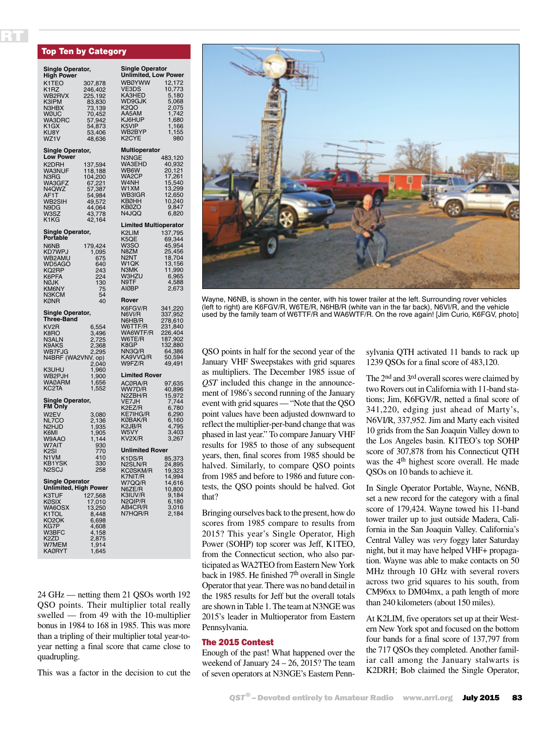#### Top Ten by Category

RT

| Single Operator,<br>High Power                                                                                                            |                                                                                                     | Single Operator<br><b>Unlimited, Low Power</b>                                                                        |                                                                                                 |  |  |
|-------------------------------------------------------------------------------------------------------------------------------------------|-----------------------------------------------------------------------------------------------------|-----------------------------------------------------------------------------------------------------------------------|-------------------------------------------------------------------------------------------------|--|--|
| K1TEO<br>K1RZ<br>WB2RVX<br>K3IPM<br>N3HBX<br>WØUC<br>WA3DRC<br>K1GX<br>KU8Y<br>WZ1V                                                       | 307,878<br>246,402<br>225,192<br>83,830<br>73,139<br>70,452<br>57,942<br>54,873<br>53,406<br>48,636 | <b>WBØYWW</b><br>VE3DS<br>KA3HED<br>WD9GJK<br><b>K2QO</b><br>AA5AM<br>KJ6HUP<br>K5VIP<br>WB2BYP<br>K <sub>2</sub> CYE | 12,172<br>10,773<br>5,180<br>5,068<br>2,075<br>1,742<br>1,680<br>1,166<br>1,155<br>1,<br>980    |  |  |
| Single Operator,<br><b>Low Power</b>                                                                                                      |                                                                                                     | <b>Multioperator</b>                                                                                                  |                                                                                                 |  |  |
| K2DRH<br>WA3NUF<br>N3RG<br>WA3GFZ<br>N4QWZ<br>AF1T<br>WB2SIH<br>N9DG<br>W3SZ<br>K1KG                                                      | 137,594<br>118,188<br>104,200<br>67,221<br>57,387<br>54,984<br>49,572<br>44,064<br>43,778<br>42,164 | N3NGE<br>WA3EHD<br>WB6W<br>WA2CP<br>W4NH<br>W1XM<br>WB3IGR<br><b>KBØHH</b><br>KB0ZO<br>N4JQQ                          | 483,120<br>40,932<br>20,121<br>17,261<br>15,540<br>13,299<br>12.650<br>12,650<br>9,847<br>6,820 |  |  |
| Single Operator,                                                                                                                          |                                                                                                     | <b>Limited Multioperator</b><br>K2LIM                                                                                 | 137,795                                                                                         |  |  |
| Portable<br>N6NB<br>KD7WPJ<br>WB2AMU<br>WD5AGO<br>KQ2RP<br>K6PFA<br>NØJK<br>KM6NY<br>N3KCM                                                | 179,424<br>1,095<br>675<br>640<br>243<br>224<br>130<br>75<br>54                                     | K5QE<br>W3SO<br>N8ZM<br>N <sub>2</sub> NT<br>W <sub>1</sub> QK<br>N3MK<br>W3HZU<br>N9TF<br><b>AIØBP</b>               | 69,344<br>45,954<br>25,456<br>18,704<br>13,156<br>11,990<br>6,965<br>4,588<br>2,673             |  |  |
| <b>KØNR</b>                                                                                                                               | 40                                                                                                  | Rover<br>K6FGV/R                                                                                                      | 341,220                                                                                         |  |  |
| Single Operator,<br>Three-Band<br>KV2R<br>K8RO<br>N3ALN<br>K9AKS<br>WB7FJG<br>N4BRF (WA2VNV, op)                                          | 6,554<br>3,496<br>2,725<br>2,368<br>2,295<br>2,040                                                  | N6VI/R<br>N6HB/R<br>W6TTF/R<br>WA6WTF/R<br>W6TE/R<br>K8GP<br>NN3Q/R<br>KA9VVQ/R<br>W9FZ/R                             | 337,952<br>278,610<br>231,840<br>226,404<br>187,902<br>132,880<br>64,386<br>50,594<br>49,491    |  |  |
| K3UHU<br>WB2PJH                                                                                                                           | 1,960<br>1,900                                                                                      | <b>Limited Rover</b>                                                                                                  |                                                                                                 |  |  |
| <b>WAØARM</b><br>KC2TA<br>Single Operator,<br>FM Only<br>W2EV<br>NL7CO<br>N2HJD<br>K6MI<br>W9AAO<br>W7AIT                                 | 1,656<br>1,552<br>3,080<br>2,136<br>1,935<br>1,905<br>1,144<br>930                                  | ACØRA/R<br>WW7D/R<br>N2ZBH/R<br>VE7JH<br>K2EZ/R<br><b>KE7IHG/R</b><br>KØBAK/R<br>K2JB/R<br>K2JB/R<br>W5VY<br>KV2X/R   | 97,635<br>40,896<br>15,972<br>7,744<br>6,780<br>6,290<br>6,160<br>4,795<br>3,403<br>3,267       |  |  |
| K <sub>2</sub> SI<br>N1VM                                                                                                                 | 770<br>410                                                                                          | <b>Unlimited Rover</b><br>K1DS/R                                                                                      |                                                                                                 |  |  |
| <b>KB1YSK</b><br>N2SCJ                                                                                                                    | 330<br>258                                                                                          | N2SLN/R<br>KCØSKM/R                                                                                                   | 85,373<br>24,895<br>19,323                                                                      |  |  |
| <b>Single Operator</b><br>Unlimited, High Power<br>K3TUF<br>KØSIX<br>WA6OSX<br>K1TOL<br>KO2OK<br>KG7P<br>W3BFC<br>K2ZD<br>W7MEM<br>KAØRYT | 127,568<br>17,010<br>13,250<br>8,448<br>6,698<br>4,608<br>4,158<br>2,875<br>1,914<br>1,645          | K7NIT/R<br>W7QQ/R<br>N6ZE/R<br>K3IUV/R<br>N2QIP/R<br>AB4CR/R<br>N7HQR/R                                               | 14,994<br>14,616<br>10,800<br>9,184<br>6,180<br>3,016<br>2,184                                  |  |  |

24 GHz — netting them 21 QSOs worth 192 QSO points. Their multiplier total really swelled — from 49 with the 10-multiplier bonus in 1984 to 168 in 1985. This was more than a tripling of their multiplier total year-toyear netting a final score that came close to quadrupling.

This was a factor in the decision to cut the



Wayne, N6NB, is shown in the center, with his tower trailer at the left. Surrounding rover vehicles (left to right) are K6FGV/R, W6TE/R, N6HB/R (white van in the far back), N6VI/R, and the vehicle used by the family team of W6TTF/R and WA6WTF/R. On the rove again! [Jim Curio, K6FGV, photo]

QSO points in half for the second year of the January VHF Sweepstakes with grid squares as multipliers. The December 1985 issue of *QST* included this change in the announcement of 1986's second running of the January event with grid squares — "Note that the QSO point values have been adjusted downward to reflect the multiplier-per-band change that was phased in last year." To compare January VHF results for 1985 to those of any subsequent years, then, final scores from 1985 should be halved. Similarly, to compare QSO points from 1985 and before to 1986 and future contests, the QSO points should be halved. Got that?

Bringing ourselves back to the present, how do scores from 1985 compare to results from 2015? This year's Single Operator, High Power (SOHP) top scorer was Jeff, K1TEO, from the Connecticut section, who also participated as WA2TEO from Eastern New York back in 1985. He finished 7<sup>th</sup> overall in Single Operator that year. There was no band detail in the 1985 results for Jeff but the overall totals are shown in Table 1. The team at N3NGE was 2015's leader in Multioperator from Eastern Pennsylvania.

#### The 2015 Contest

Enough of the past! What happened over the weekend of January 24 – 26, 2015? The team of seven operators at N3NGE's Eastern Pennsylvania QTH activated 11 bands to rack up 1239 QSOs for a final score of 483,120.

The 2<sup>nd</sup> and 3<sup>rd</sup> overall scores were claimed by two Rovers out in California with 11-band stations; Jim, K6FGV/R, netted a final score of 341,220, edging just ahead of Marty's, N6VI/R, 337,952. Jim and Marty each visited 10 grids from the San Joaquin Valley down to the Los Angeles basin. K1TEO's top SOHP score of 307,878 from his Connecticut QTH was the 4<sup>th</sup> highest score overall. He made QSOs on 10 bands to achieve it.

In Single Operator Portable, Wayne, N6NB, set a new record for the category with a final score of 179,424. Wayne towed his 11-band tower trailer up to just outside Madera, California in the San Joaquin Valley. California's Central Valley was *very* foggy later Saturday night, but it may have helped VHF+ propagation. Wayne was able to make contacts on 50 MHz through 10 GHz with several rovers across two grid squares to his south, from CM96xx to DM04mx, a path length of more than 240 kilometers (about 150 miles).

At K2LIM, five operators set up at their Western New York spot and focused on the bottom four bands for a final score of 137,797 from the 717 QSOs they completed. Another familiar call among the January stalwarts is K2DRH; Bob claimed the Single Operator,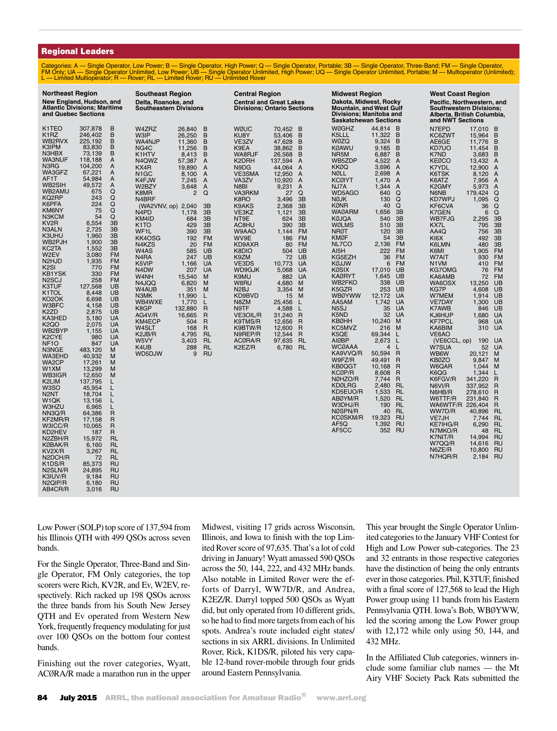#### Regional Leaders

Categories: A — Single Operator, Low Power; B — Single Operator, High Power; Q — Single Operator, Portable; 3B — Single Operator, Three-Band; FM — Single Operator, FM Only; UA — Single Operator Unlimited, Low Power; UB — Single Operator Unlimited, High Power; UQ — Single Operator Unlimited, Portable; M — Multioperator (Unlimited);<br>L — Limited Multioperator; R — Rover; RL — Limited Ro

| <b>Northeast Region</b><br>New England, Hudson, and<br><b>Atlantic Divisions; Maritime</b><br>and Quebec Sections                                                                                                                                                                                                                                                                                                                                                                                                                                                                                                                                                                                                                                               |                                                                                                                                                                                                                                                                                                                                                                                                                                                                                                                                                                                                                                                                                                                                                                                                                                                                                                                                                                                                                                                           | <b>Southeast Region</b><br>Delta, Roanoke, and<br><b>Southeastern Divisions</b>                                                                                                                                                                                                                                                                                                                                                                                                                                                                                                                                                                                                                                                                                                                                                                                                                                                                                                                                                                            | <b>Central Region</b><br><b>Central and Great Lakes</b><br><b>Divisions: Ontario Sections</b>                                                                                                                                                                                                                                                                                                                                                                                                                                                                                                                                                                                                                                                                                                                                                                                                                                 | <b>Midwest Region</b><br>Dakota, Midwest, Rocky<br><b>Mountain, and West Gulf</b><br>Divisions; Manitoba and<br><b>Saskatchewan Sections</b>                                                                                                                                                                                                                                                                                                                                                                                                                                                                                                                                                                                                                                                                                                                                                                                                                                                                                                                                                                                                                                                                                                                                                                                                                                                                | <b>West Coast Region</b><br>Pacific, Northwestern, and<br><b>Southwestern Divisions:</b><br>Alberta, British Columbia,<br>and NWT Sections                                                                                                                                                                                                                                                                                                                                                                                                                                                                                                                                                                                                                                                                                                                                                                                                                                                                                                                                                                                                                                                                                                                                                                                                                                                                                                                                                   |  |
|-----------------------------------------------------------------------------------------------------------------------------------------------------------------------------------------------------------------------------------------------------------------------------------------------------------------------------------------------------------------------------------------------------------------------------------------------------------------------------------------------------------------------------------------------------------------------------------------------------------------------------------------------------------------------------------------------------------------------------------------------------------------|-----------------------------------------------------------------------------------------------------------------------------------------------------------------------------------------------------------------------------------------------------------------------------------------------------------------------------------------------------------------------------------------------------------------------------------------------------------------------------------------------------------------------------------------------------------------------------------------------------------------------------------------------------------------------------------------------------------------------------------------------------------------------------------------------------------------------------------------------------------------------------------------------------------------------------------------------------------------------------------------------------------------------------------------------------------|------------------------------------------------------------------------------------------------------------------------------------------------------------------------------------------------------------------------------------------------------------------------------------------------------------------------------------------------------------------------------------------------------------------------------------------------------------------------------------------------------------------------------------------------------------------------------------------------------------------------------------------------------------------------------------------------------------------------------------------------------------------------------------------------------------------------------------------------------------------------------------------------------------------------------------------------------------------------------------------------------------------------------------------------------------|-------------------------------------------------------------------------------------------------------------------------------------------------------------------------------------------------------------------------------------------------------------------------------------------------------------------------------------------------------------------------------------------------------------------------------------------------------------------------------------------------------------------------------------------------------------------------------------------------------------------------------------------------------------------------------------------------------------------------------------------------------------------------------------------------------------------------------------------------------------------------------------------------------------------------------|-------------------------------------------------------------------------------------------------------------------------------------------------------------------------------------------------------------------------------------------------------------------------------------------------------------------------------------------------------------------------------------------------------------------------------------------------------------------------------------------------------------------------------------------------------------------------------------------------------------------------------------------------------------------------------------------------------------------------------------------------------------------------------------------------------------------------------------------------------------------------------------------------------------------------------------------------------------------------------------------------------------------------------------------------------------------------------------------------------------------------------------------------------------------------------------------------------------------------------------------------------------------------------------------------------------------------------------------------------------------------------------------------------------|----------------------------------------------------------------------------------------------------------------------------------------------------------------------------------------------------------------------------------------------------------------------------------------------------------------------------------------------------------------------------------------------------------------------------------------------------------------------------------------------------------------------------------------------------------------------------------------------------------------------------------------------------------------------------------------------------------------------------------------------------------------------------------------------------------------------------------------------------------------------------------------------------------------------------------------------------------------------------------------------------------------------------------------------------------------------------------------------------------------------------------------------------------------------------------------------------------------------------------------------------------------------------------------------------------------------------------------------------------------------------------------------------------------------------------------------------------------------------------------------|--|
| K1TEO<br>K <sub>1</sub> RZ<br>WB2RVX<br>K3IPM<br>N3HBX<br><b>WA3NUF</b><br>N3RG<br>WA3GFZ<br>AF1T<br>WB2SIH<br>WB2AMU<br>KQ2RP<br>K6PFA<br><b>KM6NY</b><br>N3KCM<br>KV <sub>2</sub> R<br>N3ALN<br>K3UHU<br>WB2PJH<br>KC2TA<br>W2EV<br>N <sub>2</sub> HJD<br>K <sub>2</sub> SI<br><b>KB1YSK</b><br>N <sub>2</sub> SCJ<br>K3TUF<br>K <sub>1</sub> TOL<br>KO <sub>2</sub> OK<br>W3BFC<br>K <sub>2</sub> ZD<br>KA3HED<br><b>K2QO</b><br>WB2BYP<br>K <sub>2</sub> CYE<br>NF <sub>10</sub><br>N3NGE<br>WA3EHD<br>WA2CP<br>W1XM<br><b>WB3IGR</b><br>K2LIM<br>W3SO<br>N <sub>2</sub> NT<br>W1QK<br><b>W3HZU</b><br>NN3Q/R<br>KF2MR/R<br>W3ICC/R<br>KD2HEV<br>N2ZBH/R<br>KØBAK/R<br>KV2X/R<br>N2DCH/R<br>K1DS/R<br>N2SLN/R<br>K3IUV/R<br>N <sub>2Q</sub> IP/R<br>AB4CR/R | 307,878<br>B<br>B<br>246,402<br>B<br>225,192<br>83,830<br>В<br>73,139<br>В<br>Α<br>118,188<br>104,200<br>A<br>67,221<br>A<br>54,984<br>Α<br>49,572<br>Α<br>Q<br>675<br>243<br>Q<br>Q<br>224<br>75<br>Q<br>Q<br>54<br>3B<br>6,554<br>2,725<br>3B<br>3B<br>1,960<br>3B<br>1,900<br>1,552<br>3B<br><b>FM</b><br>3,080<br>1,935<br><b>FM</b><br><b>FM</b><br>770<br><b>FM</b><br>330<br>258<br><b>FM</b><br><b>UB</b><br>127,568<br>UB<br>8,448<br>6,698<br><b>UB</b><br>UB<br>4,158<br><b>UB</b><br>2,875<br>5,180<br><b>UA</b><br><b>UA</b><br>2,075<br><b>UA</b><br>1,155<br>980<br><b>UA</b><br>UA<br>847<br>483,120<br>M<br>40,932<br>M<br>M<br>17,261<br>13,299<br>M<br>12,650<br>M<br>137,795<br>L<br>L<br>45,954<br>18,704<br>L<br>13,156<br>L<br>L<br>6,965<br>64,386<br>$\mathsf{R}$<br>R<br>17,158<br>$\mathsf{R}$<br>10,065<br>$\mathsf{R}$<br>187<br>15,972<br>RL<br><b>RL</b><br>6,160<br><b>RL</b><br>3,267<br><b>RL</b><br>72<br><b>RU</b><br>85,373<br>24,895<br><b>RU</b><br><b>RU</b><br>9,184<br><b>RU</b><br>6,180<br><b>RU</b><br>3,016 | W4ZRZ<br>B<br>26,840<br><b>W3IP</b><br>B<br>26,250<br>B<br>WA4NJP<br>11,360<br>11,256<br>B<br>NG4C<br>B<br>K1HTV<br>8,413<br>N4QWZ<br>57,387<br>A<br>KX4R<br>19,890<br>A<br>N <sub>1</sub> GC<br>8,100<br>A<br>K4FJW<br>7,245<br>A<br>W2BZY<br>3,648<br>A<br>$\overline{2}$<br>Q<br>K8MR<br>N4BRF<br>(WA2VNV, op)<br>2,040<br>3B<br>3B<br>N <sub>4</sub> P <sub>D</sub><br>1,178<br>684<br>3B<br>KM4ID<br>K <sub>1</sub> TO<br>429<br>3B<br>390<br>3B<br>WF <sub>1</sub> L<br>KK4OSG<br>192<br><b>FM</b><br>N4KZS<br><b>FM</b><br>20<br><b>UB</b><br>W4AS<br>585<br><b>UB</b><br>N <sub>4</sub> RA<br>247<br>K5VIP<br>1,166<br><b>UA</b><br>N <sub>4</sub> DW<br><b>UA</b><br>207<br>W <sub>4</sub> NH<br>15,540<br>M<br>N4JQQ<br>6,820<br>M<br>W4AUB<br>351<br>M<br>N3MK<br>11.990<br>L<br>WB4WXE<br>Г<br>1,770<br>K8GP<br>132,880<br>R<br>AG4V/R<br>16,665<br>R<br>$\mathsf{R}$<br>KM4ECP<br>504<br>W4SLT<br>168<br>R<br>K <sub>2</sub> JB/R<br>4,795<br><b>RL</b><br><b>RL</b><br>W5VY<br>3.403<br>K4UB<br>288<br><b>RL</b><br>WD5DJW<br>9<br><b>RU</b> | <b>WØUC</b><br>70.452<br>B<br>KU8Y<br>53,406<br>B<br>VE3ZV<br>47,628<br>B<br>38.862<br>B<br>K9EA<br>WA8RJF<br>B<br>26,568<br>K2DRH<br>137,594<br>A<br>44,064<br>N9DG<br>$\mathsf{A}$<br>12,950<br>A<br>VE3SMA<br>VA3ZV<br>10,920<br>A<br>9,231<br>N8BI<br>A<br>27<br>Q<br>VA3RKM<br>K8RO<br>3,496<br>3B<br>K9AKS<br>2,368<br>3B<br>1,121<br>3B<br>VE3KZ<br>NT9E<br>624<br>3B<br>AC8HU<br>3B<br>390<br><b>FM</b><br>W9AAO<br>1,144<br>WV9E<br>186<br><b>FM</b><br><b>FM</b><br>KD9AXR<br>80<br>UB<br>K8DIO<br>504<br>K9ZM<br>UB<br>72<br>UA<br>VE3DS<br>10,773<br><b>UA</b><br>WD9GJK<br>5,068<br>882<br><b>UA</b><br>K9MU<br>W8RU<br>4,680<br>M<br>N2BJ<br>3,354<br>M<br>15<br>M<br>KD9BVD<br>N8ZM<br>25,456<br>L<br>N9TF<br>4,588<br>L<br>31,240<br>$\mathsf{R}$<br>VE3OIL/R<br>12,656<br>R<br>K9TMS/R<br>12,600<br>K9BTW/R<br>R<br>N9REP/R<br>12,544<br>R<br><b>RL</b><br>ACØRA/R<br>97,635<br>K2EZ/R<br><b>RL</b><br>6,780 | <b>WØGHZ</b><br>44,814<br>B<br>11,322<br>K5LLL<br>B<br>9,324<br>WØZQ<br>В<br><b>KØAWU</b><br>B<br>9,185<br>NR5M<br>6,887<br>B<br>WB5ZDP<br>4,522<br>A<br><b>KKØQ</b><br>3,696<br>A<br>2,698<br><b>NØLL</b><br>A<br><b>KCØIYT</b><br>1,470<br>A<br>NJ7A<br>1,344<br>A<br>Q<br>WD5AGO<br>640<br><b>NØJK</b><br>Q<br>130<br>Q<br><b>KØNR</b><br>40<br>3B<br><b>WAØARM</b><br>1,656<br><b>KØJQA</b><br>3B<br>540<br><b>WØLMS</b><br>510<br>3B<br><b>NRØT</b><br>120<br>3B<br><b>KMØF</b><br>54<br>3B<br>NL7CO<br>2,136<br><b>FM</b><br>222<br><b>FM</b><br>AI5H<br>KG5EZH<br>36<br><b>FM</b><br>KØJJW<br>6<br><b>FM</b><br>UB<br>KØSIX<br>17,010<br>1,645<br>UB<br><b>KAØRYT</b><br>338<br>UB<br><b>WB2FKO</b><br>UB<br>K5GZR<br>253<br>UA<br><b>WBØYWW</b><br>12,172<br>AA5AM<br>UA<br>1,742<br>N <sub>5</sub> SJ<br><b>UA</b><br>35<br>K5ND<br>32<br><b>UA</b><br>10,240<br><b>KBØHH</b><br>M<br>KC5MVZ<br>216<br>M<br>K5QE<br>69,344<br>L<br><b>AIØBP</b><br>2,673<br>L<br><b>WCØAAA</b><br>L<br>4<br>KA9VVQ/R<br>50,594<br>R<br>W9FZ/R<br>49,491<br>R<br><b>KBØQGT</b><br>10,168<br>R<br>KCØP/R<br>8,608<br>R<br>R<br>NØHZO/R<br>7,744<br><b>KDØLRG</b><br>2,480<br><b>RL</b><br>KD5EUO/R<br>1,533<br><b>RL</b><br>1,520<br><b>RL</b><br>ABØYM/R<br>W3DHJ/R<br>190<br><b>RL</b><br>NØSPN/R<br><b>RL</b><br>40<br><b>KCØSKM/R</b><br>19,323<br><b>RU</b><br>1,392<br><b>RU</b><br>AF5Q<br>AF5CC<br>RU<br>352 | N7EPD<br>17,010<br>B<br>KC6ZWT<br>15,964<br>B<br>AE6GE<br>11,776<br>B<br>KD7UO<br>B<br>11,454<br>K7ND<br>3,683<br>В<br><b>KEØCO</b><br>13,432 A<br>K7YDL<br>12,900<br>$\overline{A}$<br>K6TSK<br>8,120<br>$\overline{A}$<br>K6ATZ<br>7,956<br>- A<br>K2GMY<br>5,973<br>$\overline{A}$<br>N6NB<br>179,424<br>Q<br>KD7WPJ<br>1,095<br>Q<br>KF6CVA<br>36<br>Q<br>Q<br>K7GEN<br>6<br>WB7FJG<br>2,295<br>3B<br>KX7L<br>795<br>3B<br>3B<br>AA4Q<br>756<br>KI6X<br>492<br>3B<br>480<br>K6LMN<br>3B<br>K6MI<br>1,905<br><b>FM</b><br>W7AIT<br>930<br><b>FM</b><br>N <sub>1</sub> VM<br>410<br><b>FM</b><br>KG70MG<br>76<br><b>FM</b><br>72<br>KA6AMB<br><b>FM</b><br>UB<br>WA6OSX<br>13,250<br>KG7P<br>4,608<br><b>UB</b><br>W7MEM<br>1,914<br>UB<br><b>VE7DAY</b><br>1,300<br>UB<br>K7AWB<br>UB<br>846<br>KJ6HUP<br>1,680<br><b>UA</b><br><b>KF7PCL</b><br>968<br><b>UA</b><br>KA6BIM<br>310<br><b>UA</b><br>VE6AO<br>190<br>(VE6CCL, op)<br><b>UA</b><br>W7SUA<br>52<br><b>UA</b><br>WB6W<br>20,121<br>М<br><b>KBØZO</b><br>9,847<br>M<br>W6QAR<br>1,044<br>M<br>K6QG<br>1,344<br>L<br>$\mathsf{R}$<br>341,220<br>K6FGV/R<br>N6VI/R<br>337,952<br>R<br>N6HB/R<br>278,610<br>R<br>W6TTF/R<br>231,840<br>R<br>WA6WTF/R<br>226,404<br>R<br>WW7D/R<br>40,896<br><b>RL</b><br>VE7JH<br>7,744<br><b>RL</b><br>6,290<br>KE7IHG/R<br><b>RL</b><br>N7MKO/R<br>48<br><b>RL</b><br>K7NIT/R<br><b>RU</b><br>14,994<br>W7QQ/R<br>14,616<br><b>RU</b><br>N6ZE/R<br>10,800<br>RU<br>N7HQR/R<br><b>RU</b><br>2,184 |  |

Low Power (SOLP) top score of 137,594 from his Illinois QTH with 499 QSOs across seven bands.

For the Single Operator, Three-Band and Single Operator, FM Only categories, the top scorers were Rich, KV2R, and Ev, W2EV, respectively. Rich racked up 198 QSOs across the three bands from his South New Jersey QTH and Ev operated from Western New York, frequently frequency modulating for just over 100 QSOs on the bottom four contest bands.

Finishing out the rover categories, Wyatt, ACØRA/R made a marathon run in the upper Midwest, visiting 17 grids across Wisconsin, Illinois, and Iowa to finish with the top Limited Rover score of 97,635. That's a lot of cold driving in January! Wyatt amassed 590 QSOs across the 50, 144, 222, and 432 MHz bands. Also notable in Limited Rover were the efforts of Darryl, WW7D/R, and Andrea, K2EZ/R. Darryl topped 500 QSOs as Wyatt did, but only operated from 10 different grids, so he had to find more targets from each of his spots. Andrea's route included eight states/ sections in six ARRL divisions. In Unlimited Rover, Rick, K1DS/R, piloted his very capable 12-band rover-mobile through four grids around Eastern Pennsylvania.

This year brought the Single Operator Unlimited categories to the January VHF Contest for High and Low Power sub-categories. The 23 and 32 entrants in those respective categories have the distinction of being the only entrants ever in those categories. Phil, K3TUF, finished with a final score of 127,568 to lead the High Power group using 11 bands from his Eastern Pennsylvania QTH. Iowa's Bob, WBØYWW, led the scoring among the Low Power group with 12,172 while only using 50, 144, and 432 MHz.

In the Affiliated Club categories, winners include some familiar club names — the Mt Airy VHF Society Pack Rats submitted the